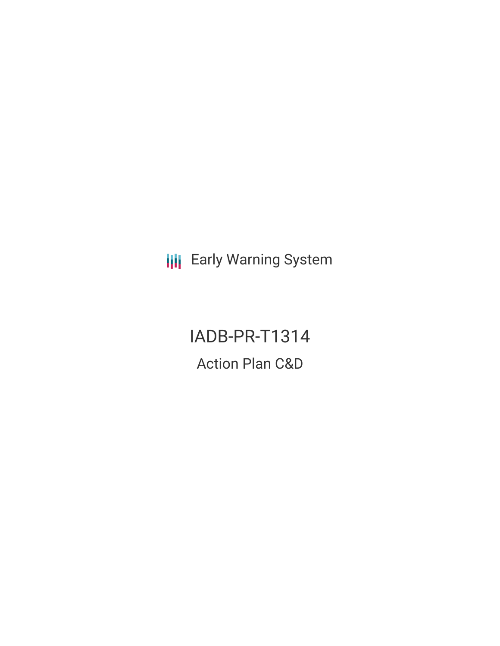**III** Early Warning System

IADB-PR-T1314 Action Plan C&D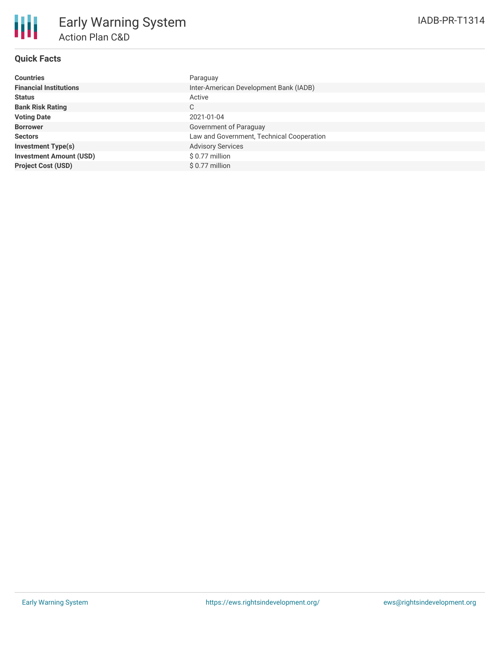

## **Quick Facts**

| <b>Countries</b>               | Paraguay                                  |
|--------------------------------|-------------------------------------------|
| <b>Financial Institutions</b>  | Inter-American Development Bank (IADB)    |
| <b>Status</b>                  | Active                                    |
| <b>Bank Risk Rating</b>        | C                                         |
| <b>Voting Date</b>             | 2021-01-04                                |
| <b>Borrower</b>                | Government of Paraguay                    |
| <b>Sectors</b>                 | Law and Government, Technical Cooperation |
| <b>Investment Type(s)</b>      | <b>Advisory Services</b>                  |
| <b>Investment Amount (USD)</b> | $$0.77$ million                           |
| <b>Project Cost (USD)</b>      | \$0.77 million                            |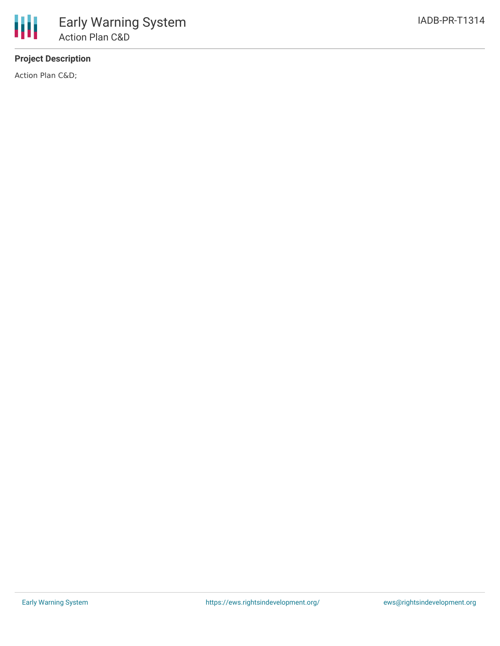# **Project Description**

Action Plan C&D;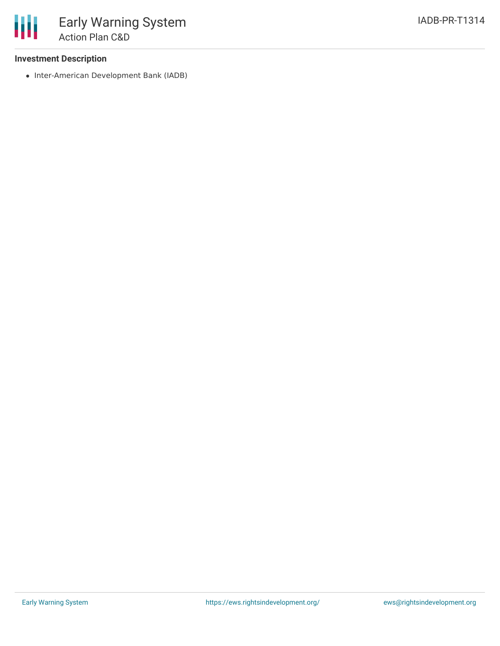### **Investment Description**

• Inter-American Development Bank (IADB)